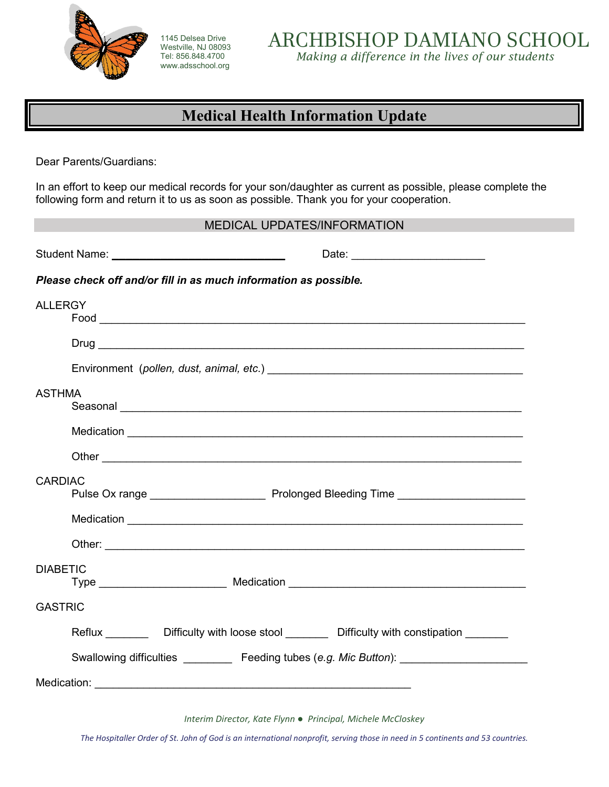

1145 Delsea Drive Westville, NJ 08093 Tel: 856.848.4700 www.adsschool.org

## **Medical Health Information Update**

Dear Parents/Guardians:

In an effort to keep our medical records for your son/daughter as current as possible, please complete the following form and return it to us as soon as possible. Thank you for your cooperation.

## MEDICAL UPDATES/INFORMATION

| Please check off and/or fill in as much information as possible. |                                                                                                                                                                                                                                      |
|------------------------------------------------------------------|--------------------------------------------------------------------------------------------------------------------------------------------------------------------------------------------------------------------------------------|
| <b>ALLERGY</b>                                                   |                                                                                                                                                                                                                                      |
|                                                                  |                                                                                                                                                                                                                                      |
|                                                                  |                                                                                                                                                                                                                                      |
| <b>ASTHMA</b>                                                    | Seasonal <u>example and the contract of the contract of the contract of the contract of the contract of the contract of the contract of the contract of the contract of the contract of the contract of the contract of the cont</u> |
|                                                                  |                                                                                                                                                                                                                                      |
|                                                                  |                                                                                                                                                                                                                                      |
| <b>CARDIAC</b>                                                   |                                                                                                                                                                                                                                      |
|                                                                  |                                                                                                                                                                                                                                      |
|                                                                  |                                                                                                                                                                                                                                      |
| <b>DIABETIC</b>                                                  |                                                                                                                                                                                                                                      |
| <b>GASTRIC</b>                                                   |                                                                                                                                                                                                                                      |
|                                                                  | Reflux ___________ Difficulty with loose stool __________ Difficulty with constipation ________                                                                                                                                      |
|                                                                  | Swallowing difficulties __________ Feeding tubes (e.g. Mic Button): ____________                                                                                                                                                     |
|                                                                  |                                                                                                                                                                                                                                      |

*Interim Director, Kate Flynn ● Principal, Michele McCloskey* 

*The Hospitaller Order of St. John of God is an international nonprofit, serving those in need in 5 continents and 53 countries.*